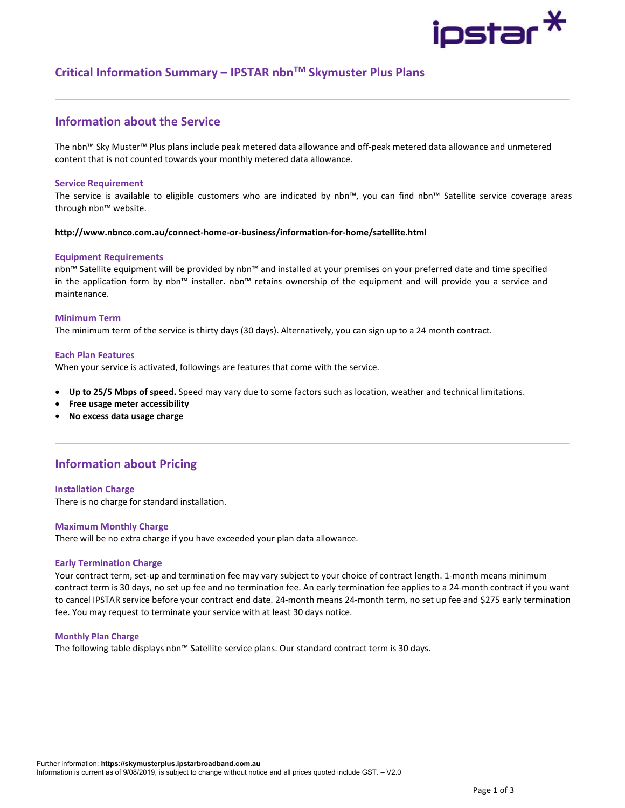# ipstar <sup>X</sup>

## Critical Information Summary – IPSTAR nbnTM Skymuster Plus Plans

## Information about the Service

The nbn™ Sky Muster™ Plus plans include peak metered data allowance and off-peak metered data allowance and unmetered content that is not counted towards your monthly metered data allowance.

#### Service Requirement

The service is available to eligible customers who are indicated by nbn™, you can find nbn™ Satellite service coverage areas through nbn™ website.

#### http://www.nbnco.com.au/connect-home-or-business/information-for-home/satellite.html

#### Equipment Requirements

nbn™ Satellite equipment will be provided by nbn™ and installed at your premises on your preferred date and time specified in the application form by nbn™ installer. nbn™ retains ownership of the equipment and will provide you a service and maintenance.

#### Minimum Term

The minimum term of the service is thirty days (30 days). Alternatively, you can sign up to a 24 month contract.

#### Each Plan Features

When your service is activated, followings are features that come with the service.

- Up to 25/5 Mbps of speed. Speed may vary due to some factors such as location, weather and technical limitations.
- Free usage meter accessibility
- No excess data usage charge

## Information about Pricing

#### Installation Charge

There is no charge for standard installation.

#### Maximum Monthly Charge

There will be no extra charge if you have exceeded your plan data allowance.

#### Early Termination Charge

Your contract term, set-up and termination fee may vary subject to your choice of contract length. 1-month means minimum contract term is 30 days, no set up fee and no termination fee. An early termination fee applies to a 24-month contract if you want to cancel IPSTAR service before your contract end date. 24-month means 24-month term, no set up fee and \$275 early termination fee. You may request to terminate your service with at least 30 days notice.

#### Monthly Plan Charge

The following table displays nbn™ Satellite service plans. Our standard contract term is 30 days.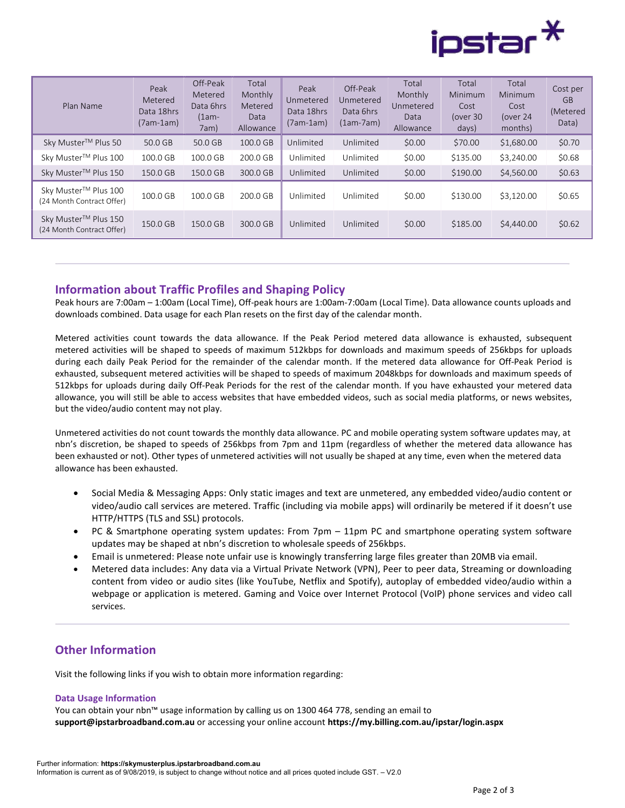

| Plan Name                                         | Peak<br>Metered<br>Data 18hrs<br>(7am-1am) | Off-Peak<br>Metered<br>Data 6hrs<br>$(1am -$<br>7am) | Total<br>Monthly<br>Metered<br>Data<br>Allowance | Peak<br>Unmetered<br>Data 18hrs<br>(7am-1am) | Off-Peak<br>Unmetered<br>Data 6hrs<br>$(1am-7am)$ | Total<br>Monthly<br>Unmetered<br>Data<br>Allowance | Total<br>Minimum<br>Cost<br>lover 30<br>days) | Total<br><b>Minimum</b><br>Cost<br>(over 24<br>months) | Cost per<br><b>GB</b><br>(Metered<br>Data) |
|---------------------------------------------------|--------------------------------------------|------------------------------------------------------|--------------------------------------------------|----------------------------------------------|---------------------------------------------------|----------------------------------------------------|-----------------------------------------------|--------------------------------------------------------|--------------------------------------------|
| Sky Muster™ Plus 50                               | 50.0 GB                                    | 50.0 GB                                              | 100.0 GB                                         | Unlimited                                    | Unlimited                                         | \$0.00                                             | \$70.00                                       | \$1,680.00                                             | \$0.70                                     |
| Sky Muster™ Plus 100                              | 100.0 GB                                   | 100.0 GB                                             | 200.0 GB                                         | Unlimited                                    | Unlimited                                         | \$0.00                                             | \$135.00                                      | \$3,240.00                                             | \$0.68                                     |
| Sky Muster™ Plus 150                              | 150.0 GB                                   | 150.0 GB                                             | 300.0 GB                                         | Unlimited                                    | Unlimited                                         | \$0.00                                             | \$190.00                                      | \$4,560.00                                             | \$0.63                                     |
| Sky Muster™ Plus 100<br>(24 Month Contract Offer) | 100.0 GB                                   | 100.0 GB                                             | 200.0 GB                                         | Unlimited                                    | Unlimited                                         | \$0.00                                             | \$130.00                                      | \$3,120.00                                             | \$0.65                                     |
| Sky Muster™ Plus 150<br>(24 Month Contract Offer) | 150.0 GB                                   | 150.0 GB                                             | 300.0 GB                                         | Unlimited                                    | Unlimited                                         | \$0.00                                             | \$185.00                                      | \$4,440.00                                             | \$0.62                                     |

### Information about Traffic Profiles and Shaping Policy

Peak hours are 7:00am – 1:00am (Local Time), Off-peak hours are 1:00am-7:00am (Local Time). Data allowance counts uploads and downloads combined. Data usage for each Plan resets on the first day of the calendar month.

Metered activities count towards the data allowance. If the Peak Period metered data allowance is exhausted, subsequent metered activities will be shaped to speeds of maximum 512kbps for downloads and maximum speeds of 256kbps for uploads during each daily Peak Period for the remainder of the calendar month. If the metered data allowance for Off-Peak Period is exhausted, subsequent metered activities will be shaped to speeds of maximum 2048kbps for downloads and maximum speeds of 512kbps for uploads during daily Off-Peak Periods for the rest of the calendar month. If you have exhausted your metered data allowance, you will still be able to access websites that have embedded videos, such as social media platforms, or news websites, but the video/audio content may not play.

Unmetered activities do not count towards the monthly data allowance. PC and mobile operating system software updates may, at nbn's discretion, be shaped to speeds of 256kbps from 7pm and 11pm (regardless of whether the metered data allowance has been exhausted or not). Other types of unmetered activities will not usually be shaped at any time, even when the metered data allowance has been exhausted.

- Social Media & Messaging Apps: Only static images and text are unmetered, any embedded video/audio content or video/audio call services are metered. Traffic (including via mobile apps) will ordinarily be metered if it doesn't use HTTP/HTTPS (TLS and SSL) protocols.
- PC & Smartphone operating system updates: From 7pm 11pm PC and smartphone operating system software updates may be shaped at nbn's discretion to wholesale speeds of 256kbps.
- Email is unmetered: Please note unfair use is knowingly transferring large files greater than 20MB via email.
- Metered data includes: Any data via a Virtual Private Network (VPN), Peer to peer data, Streaming or downloading content from video or audio sites (like YouTube, Netflix and Spotify), autoplay of embedded video/audio within a webpage or application is metered. Gaming and Voice over Internet Protocol (VoIP) phone services and video call services.

## Other Information

Visit the following links if you wish to obtain more information regarding:

#### Data Usage Information

You can obtain your nbn™ usage information by calling us on 1300 464 778, sending an email to support@ipstarbroadband.com.au or accessing your online account https://my.billing.com.au/ipstar/login.aspx